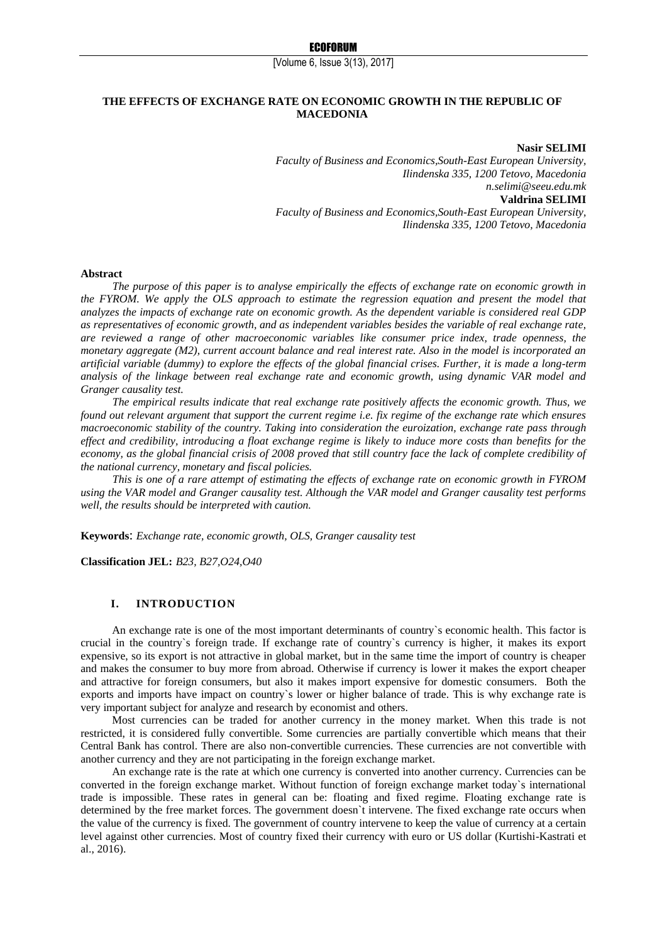[Volume 6, Issue 3(13), 2017]

# **THE EFFECTS OF EXCHANGE RATE ON ECONOMIC GROWTH IN THE REPUBLIC OF MACEDONIA**

**Nasir SELIMI** *Faculty of Business and Economics,South-East European University, Ilindenska 335, 1200 Tetovo, Macedonia n.selimi@seeu.edu.mk* **Valdrina SELIMI** *Faculty of Business and Economics,South-East European University, Ilindenska 335, 1200 Tetovo, Macedonia*

#### **Abstract**

*The purpose of this paper is to analyse empirically the effects of exchange rate on economic growth in the FYROM. We apply the OLS approach to estimate the regression equation and present the model that analyzes the impacts of exchange rate on economic growth. As the dependent variable is considered real GDP as representatives of economic growth, and as independent variables besides the variable of real exchange rate, are reviewed a range of other macroeconomic variables like consumer price index, trade openness, the monetary aggregate (M2), current account balance and real interest rate. Also in the model is incorporated an artificial variable (dummy) to explore the effects of the global financial crises. Further, it is made a long-term analysis of the linkage between real exchange rate and economic growth, using dynamic VAR model and Granger causality test.* 

*The empirical results indicate that real exchange rate positively affects the economic growth. Thus, we found out relevant argument that support the current regime i.e. fix regime of the exchange rate which ensures macroeconomic stability of the country. Taking into consideration the euroization, exchange rate pass through effect and credibility, introducing a float exchange regime is likely to induce more costs than benefits for the economy, as the global financial crisis of 2008 proved that still country face the lack of complete credibility of the national currency, monetary and fiscal policies.* 

*This is one of a rare attempt of estimating the effects of exchange rate on economic growth in FYROM using the VAR model and Granger causality test. Although the VAR model and Granger causality test performs well, the results should be interpreted with caution.* 

**Keywords**: *Exchange rate, economic growth, OLS, Granger causality test*

**Classification JEL:** *B23, B27,O24,O40*

### **I. INTRODUCTION**

An exchange rate is one of the most important determinants of country`s economic health. This factor is crucial in the country`s foreign trade. If exchange rate of country`s currency is higher, it makes its export expensive, so its export is not attractive in global market, but in the same time the import of country is cheaper and makes the consumer to buy more from abroad. Otherwise if currency is lower it makes the export cheaper and attractive for foreign consumers, but also it makes import expensive for domestic consumers. Both the exports and imports have impact on country`s lower or higher balance of trade. This is why exchange rate is very important subject for analyze and research by economist and others.

Most currencies can be traded for another currency in the money market. When this trade is not restricted, it is considered fully convertible. Some currencies are partially convertible which means that their Central Bank has control. There are also non-convertible currencies. These currencies are not convertible with another currency and they are not participating in the foreign exchange market.

An exchange rate is the rate at which one currency is converted into another currency. Currencies can be converted in the foreign exchange market. Without function of foreign exchange market today`s international trade is impossible. These rates in general can be: floating and fixed regime. Floating exchange rate is determined by the free market forces. The government doesn`t intervene. The fixed exchange rate occurs when the value of the currency is fixed. The government of country intervene to keep the value of currency at a certain level against other currencies. Most of country fixed their currency with euro or US dollar (Kurtishi-Kastrati et al., 2016).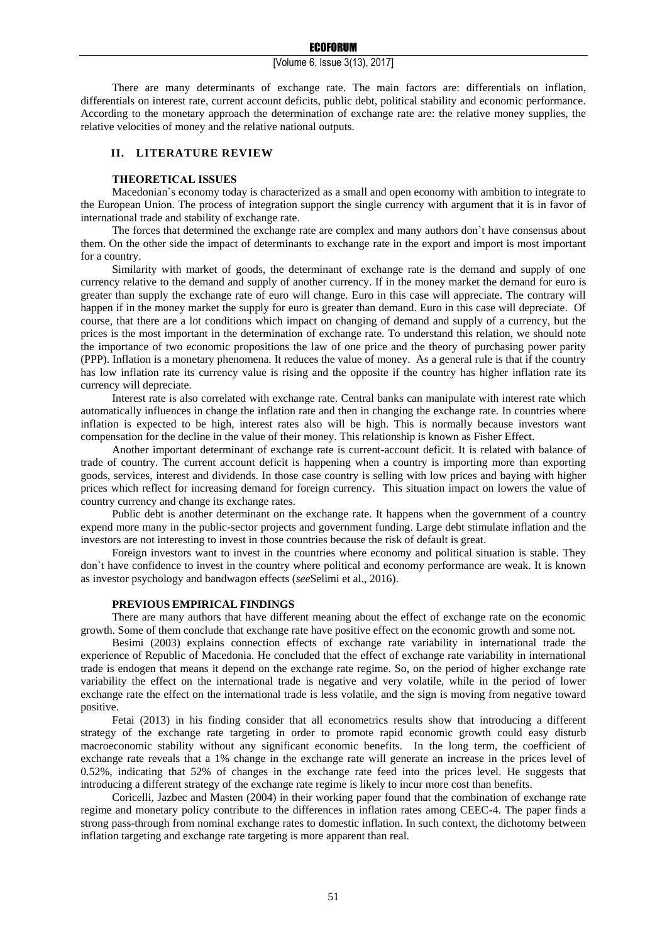#### ECOFORUM

## [Volume 6, Issue 3(13), 2017]

There are many determinants of exchange rate. The main factors are: differentials on inflation, differentials on interest rate, current account deficits, public debt, political stability and economic performance. According to the monetary approach the determination of exchange rate are: the relative money supplies, the relative velocities of money and the relative national outputs.

## **II. LITERATURE REVIEW**

## **THEORETICAL ISSUES**

Macedonian`s economy today is characterized as a small and open economy with ambition to integrate to the European Union. The process of integration support the single currency with argument that it is in favor of international trade and stability of exchange rate.

The forces that determined the exchange rate are complex and many authors don`t have consensus about them. On the other side the impact of determinants to exchange rate in the export and import is most important for a country.

Similarity with market of goods, the determinant of exchange rate is the demand and supply of one currency relative to the demand and supply of another currency. If in the money market the demand for euro is greater than supply the exchange rate of euro will change. Euro in this case will appreciate. The contrary will happen if in the money market the supply for euro is greater than demand. Euro in this case will depreciate. Of course, that there are a lot conditions which impact on changing of demand and supply of a currency, but the prices is the most important in the determination of exchange rate. To understand this relation, we should note the importance of two economic propositions the law of one price and the theory of purchasing power parity (PPP). Inflation is a monetary phenomena. It reduces the value of money. As a general rule is that if the country has low inflation rate its currency value is rising and the opposite if the country has higher inflation rate its currency will depreciate.

Interest rate is also correlated with exchange rate. Central banks can manipulate with interest rate which automatically influences in change the inflation rate and then in changing the exchange rate. In countries where inflation is expected to be high, interest rates also will be high. This is normally because investors want compensation for the decline in the value of their money. This relationship is known as Fisher Effect.

Another important determinant of exchange rate is current-account deficit. It is related with balance of trade of country. The current account deficit is happening when a country is importing more than exporting goods, services, interest and dividends. In those case country is selling with low prices and baying with higher prices which reflect for increasing demand for foreign currency. This situation impact on lowers the value of country currency and change its exchange rates.

Public debt is another determinant on the exchange rate. It happens when the government of a country expend more many in the public-sector projects and government funding. Large debt stimulate inflation and the investors are not interesting to invest in those countries because the risk of default is great.

Foreign investors want to invest in the countries where economy and political situation is stable. They don`t have confidence to invest in the country where political and economy performance are weak. It is known as investor psychology and bandwagon effects (*see*Selimi et al., 2016).

#### **PREVIOUS EMPIRICAL FINDINGS**

There are many authors that have different meaning about the effect of exchange rate on the economic growth. Some of them conclude that exchange rate have positive effect on the economic growth and some not.

Besimi (2003) explains connection effects of exchange rate variability in international trade the experience of Republic of Macedonia. He concluded that the effect of exchange rate variability in international trade is endogen that means it depend on the exchange rate regime. So, on the period of higher exchange rate variability the effect on the international trade is negative and very volatile, while in the period of lower exchange rate the effect on the international trade is less volatile, and the sign is moving from negative toward positive.

Fetai (2013) in his finding consider that all econometrics results show that introducing a different strategy of the exchange rate targeting in order to promote rapid economic growth could easy disturb macroeconomic stability without any significant economic benefits. In the long term, the coefficient of exchange rate reveals that a 1% change in the exchange rate will generate an increase in the prices level of 0.52%, indicating that 52% of changes in the exchange rate feed into the prices level. He suggests that introducing a different strategy of the exchange rate regime is likely to incur more cost than benefits.

Coricelli, Jazbec and Masten (2004) in their working paper found that the combination of exchange rate regime and monetary policy contribute to the differences in inflation rates among CEEC-4. The paper finds a strong pass-through from nominal exchange rates to domestic inflation. In such context, the dichotomy between inflation targeting and exchange rate targeting is more apparent than real.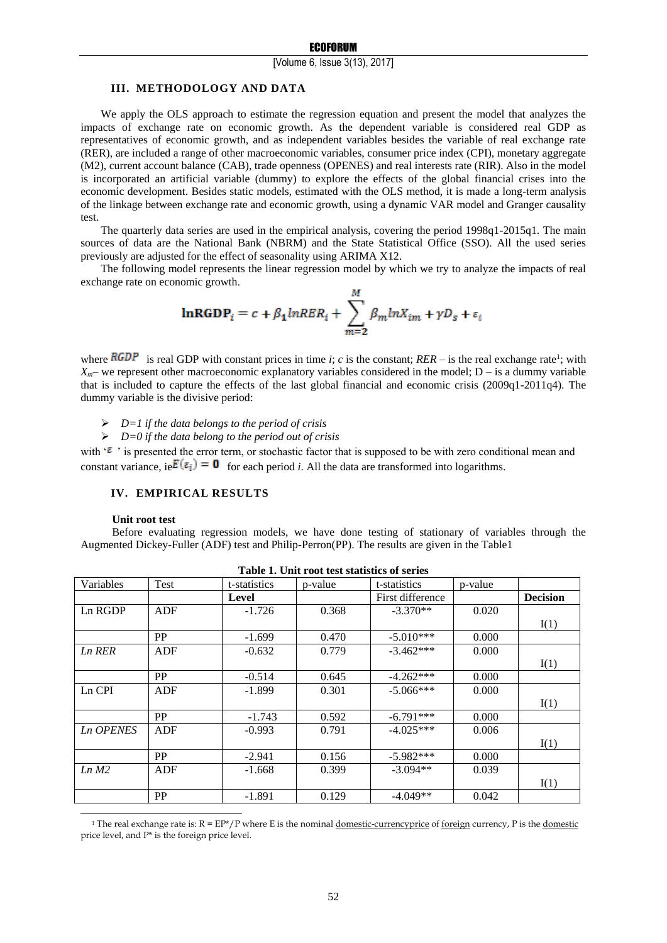### [Volume 6, Issue 3(13), 2017]

### **III. METHODOLOGY AND DATA**

We apply the OLS approach to estimate the regression equation and present the model that analyzes the impacts of exchange rate on economic growth. As the dependent variable is considered real GDP as representatives of economic growth, and as independent variables besides the variable of real exchange rate (RER), are included a range of other macroeconomic variables, consumer price index (CPI), monetary aggregate (M2), current account balance (CAB), trade openness (OPENES) and real interests rate (RIR). Also in the model is incorporated an artificial variable (dummy) to explore the effects of the global financial crises into the economic development. Besides static models, estimated with the OLS method, it is made a long-term analysis of the linkage between exchange rate and economic growth, using a dynamic VAR model and Granger causality test.

The quarterly data series are used in the empirical analysis, covering the period 1998q1-2015q1. The main sources of data are the National Bank (NBRM) and the State Statistical Office (SSO). All the used series previously are adjusted for the effect of seasonality using ARIMA X12.

The following model represents the linear regression model by which we try to analyze the impacts of real exchange rate on economic growth.

$$
\mathbf{lnRGDP}_{i} = c + \beta_1 lnRER_i + \sum_{m=2}^{M} \beta_m lnX_{im} + \gamma D_s + \varepsilon_i
$$

where  $RGDP$  is real GDP with constant prices in time *i*; *c* is the constant;  $RER$  – is the real exchange rate<sup>1</sup>; with  $X_{m}$ – we represent other macroeconomic explanatory variables considered in the model;  $D -$  is a dummy variable that is included to capture the effects of the last global financial and economic crisis (2009q1-2011q4). The dummy variable is the divisive period:

*D=1 if the data belongs to the period of crisis*

# *D=0 if the data belong to the period out of crisis*

with ' $\epsilon$ ' is presented the error term, or stochastic factor that is supposed to be with zero conditional mean and constant variance,  $ie E(\epsilon_i) = \mathbf{0}$  for each period *i*. All the data are transformed into logarithms.

# **IV. EMPIRICAL RESULTS**

## **Unit root test**

-

Before evaluating regression models, we have done testing of stationary of variables through the Augmented Dickey-Fuller (ADF) test and Philip-Perron(PP). The results are given in the Table1

| Table 1. Chil Tool ast statistics of scries |           |              |         |                  |         |                 |  |
|---------------------------------------------|-----------|--------------|---------|------------------|---------|-----------------|--|
| Variables                                   | Test      | t-statistics | p-value | t-statistics     | p-value |                 |  |
|                                             |           | Level        |         | First difference |         | <b>Decision</b> |  |
| Ln RGDP                                     | ADF       | $-1.726$     | 0.368   | $-3.370**$       | 0.020   |                 |  |
|                                             |           |              |         |                  |         | I(1)            |  |
|                                             | PP        | $-1.699$     | 0.470   | $-5.010***$      | 0.000   |                 |  |
| Ln RER                                      | ADF       | $-0.632$     | 0.779   | $-3.462***$      | 0.000   |                 |  |
|                                             |           |              |         |                  |         | I(1)            |  |
|                                             | <b>PP</b> | $-0.514$     | 0.645   | $-4.262***$      | 0.000   |                 |  |
| Ln CPI                                      | ADF       | $-1.899$     | 0.301   | $-5.066***$      | 0.000   |                 |  |
|                                             |           |              |         |                  |         | I(1)            |  |
|                                             | PP        | $-1.743$     | 0.592   | $-6.791***$      | 0.000   |                 |  |
| <b>Ln OPENES</b>                            | ADF       | $-0.993$     | 0.791   | $-4.025***$      | 0.006   |                 |  |
|                                             |           |              |         |                  |         | I(1)            |  |
|                                             | <b>PP</b> | $-2.941$     | 0.156   | $-5.982***$      | 0.000   |                 |  |
| Ln M2                                       | ADF       | $-1.668$     | 0.399   | $-3.094**$       | 0.039   |                 |  |
|                                             |           |              |         |                  |         | I(1)            |  |
|                                             | <b>PP</b> | -1.891       | 0.129   | $-4.049**$       | 0.042   |                 |  |

|  |  | Table 1. Unit root test statistics of series |  |
|--|--|----------------------------------------------|--|
|  |  |                                              |  |

<sup>&</sup>lt;sup>1</sup> The real exchange rate is:  $R = EP^*/P$  where E is the nomina[l domestic-currencyprice](http://www.investorwords.com/15350/domestic_currency.html) o[f foreign](http://www.investorwords.com/9750/foreign.html) currency, P is th[e domestic](http://www.investorwords.com/1539/domestic.html) price level, and P\* is the foreign price level.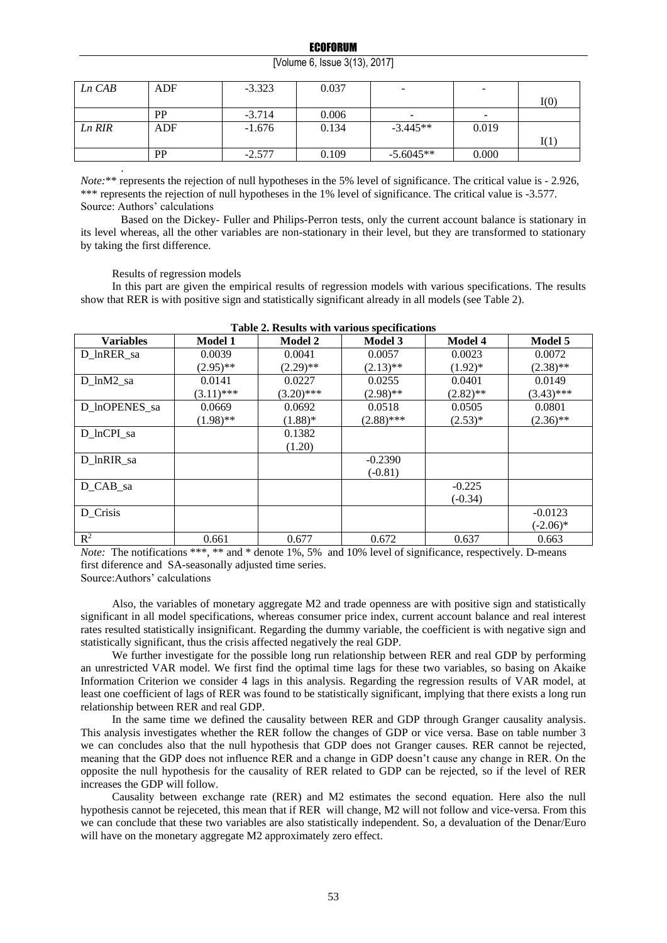[Volume 6, Issue 3(13), 2017]

| $Ln$ $CAB$ | ADF | $-3.323$ | 0.037 | $\overline{\phantom{0}}$ | $\overline{\phantom{a}}$ |      |
|------------|-----|----------|-------|--------------------------|--------------------------|------|
|            |     |          |       |                          |                          | I(0) |
|            | PP  | $-3.714$ | 0.006 |                          | $\overline{\phantom{a}}$ |      |
| Ln RIR     | ADF | $-1.676$ | 0.134 | $-3.445**$               | 0.019                    |      |
|            |     |          |       |                          |                          | I(1) |
|            | PP  | $-2.577$ | 0.109 | $-5.6045**$              | 0.000                    |      |
|            |     |          |       |                          |                          |      |

*Note*:\*\* represents the rejection of null hypotheses in the 5% level of significance. The critical value is - 2.926, \*\*\* represents the rejection of null hypotheses in the 1% level of significance. The critical value is -3.577. Source: Authors' calculations

Based on the Dickey- Fuller and Philips-Perron tests, only the current account balance is stationary in its level whereas, all the other variables are non-stationary in their level, but they are transformed to stationary by taking the first difference.

Results of regression models

In this part are given the empirical results of regression models with various specifications. The results show that RER is with positive sign and statistically significant already in all models (see Table 2).

| Table 2. Results with various specifications |                |                |                |                |                |  |
|----------------------------------------------|----------------|----------------|----------------|----------------|----------------|--|
| <b>Variables</b>                             | <b>Model 1</b> | <b>Model 2</b> | <b>Model 3</b> | <b>Model 4</b> | <b>Model 5</b> |  |
| D lnRER sa                                   | 0.0039         | 0.0041         | 0.0057         | 0.0023         | 0.0072         |  |
|                                              | $(2.95)$ **    | $(2.29)$ **    | $(2.13)$ **    | $(1.92)^*$     | $(2.38)$ **    |  |
| D lnM2 sa                                    | 0.0141         | 0.0227         | 0.0255         | 0.0401         | 0.0149         |  |
|                                              | $(3.11)$ ***   | $(3.20)$ ***   | $(2.98)$ **    | $(2.82)$ **    | $(3.43)$ ***   |  |
| D InOPENES sa                                | 0.0669         | 0.0692         | 0.0518         | 0.0505         | 0.0801         |  |
|                                              | $(1.98)$ **    | $(1.88)$ *     | $(2.88)$ ***   | $(2.53)*$      | $(2.36)$ **    |  |
| D lnCPI sa                                   |                | 0.1382         |                |                |                |  |
|                                              |                | (1.20)         |                |                |                |  |
| D lnRIR sa                                   |                |                | $-0.2390$      |                |                |  |
|                                              |                |                | $(-0.81)$      |                |                |  |
| D_CAB_sa                                     |                |                |                | $-0.225$       |                |  |
|                                              |                |                |                | $(-0.34)$      |                |  |
| D Crisis                                     |                |                |                |                | $-0.0123$      |  |
|                                              |                |                |                |                | $(-2.06)*$     |  |
| $\mathbb{R}^2$                               | 0.661          | 0.677          | 0.672          | 0.637          | 0.663          |  |

| Table 2. Results with various specifications |
|----------------------------------------------|
|----------------------------------------------|

*Note:* The notifications \*\*\*, \*\* and \* denote 1%, 5% and 10% level of significance, respectively. D-means first diference and SA-seasonally adjusted time series.

Source:Authors' calculations

Also, the variables of monetary aggregate M2 and trade openness are with positive sign and statistically significant in all model specifications, whereas consumer price index, current account balance and real interest rates resulted statistically insignificant. Regarding the dummy variable, the coefficient is with negative sign and statistically significant, thus the crisis affected negatively the real GDP.

We further investigate for the possible long run relationship between RER and real GDP by performing an unrestricted VAR model. We first find the optimal time lags for these two variables, so basing on Akaike Information Criterion we consider 4 lags in this analysis. Regarding the regression results of VAR model, at least one coefficient of lags of RER was found to be statistically significant, implying that there exists a long run relationship between RER and real GDP.

In the same time we defined the causality between RER and GDP through Granger causality analysis. This analysis investigates whether the RER follow the changes of GDP or vice versa. Base on table number 3 we can concludes also that the null hypothesis that GDP does not Granger causes. RER cannot be rejected, meaning that the GDP does not influence RER and a change in GDP doesn't cause any change in RER. On the opposite the null hypothesis for the causality of RER related to GDP can be rejected, so if the level of RER increases the GDP will follow.

Causality between exchange rate (RER) and M2 estimates the second equation. Here also the null hypothesis cannot be rejeceted, this mean that if RER will change, M2 will not follow and vice-versa. From this we can conclude that these two variables are also statistically independent. So, a devaluation of the Denar/Euro will have on the monetary aggregate M2 approximately zero effect.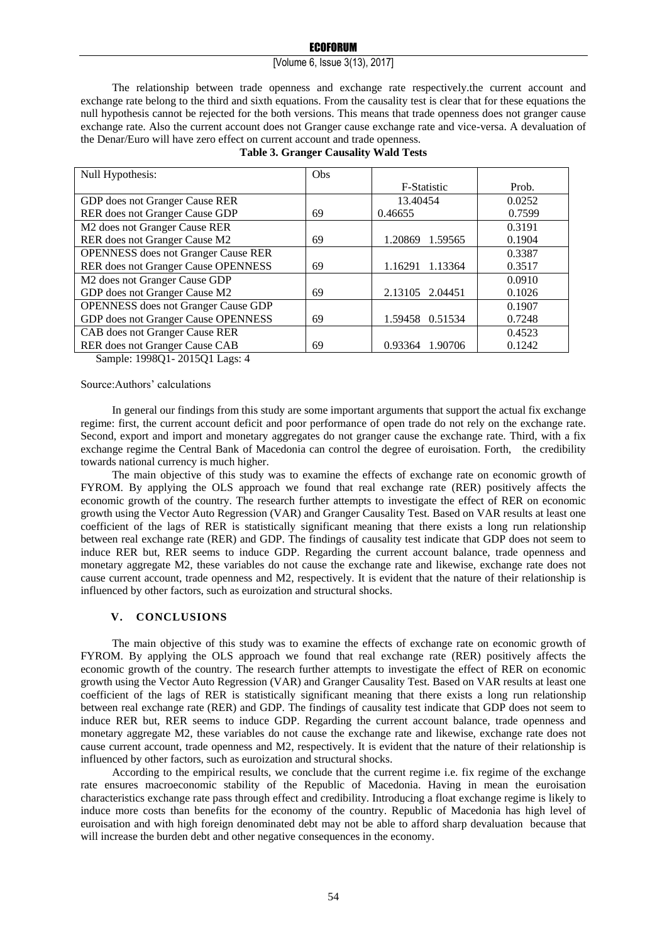## ECOFORUM

## [Volume 6, Issue 3(13), 2017]

The relationship between trade openness and exchange rate respectively.the current account and exchange rate belong to the third and sixth equations. From the causality test is clear that for these equations the null hypothesis cannot be rejected for the both versions. This means that trade openness does not granger cause exchange rate. Also the current account does not Granger cause exchange rate and vice-versa. A devaluation of the Denar/Euro will have zero effect on current account and trade openness.

| Null Hypothesis:                           | <b>Obs</b> |                    |        |
|--------------------------------------------|------------|--------------------|--------|
|                                            |            | F-Statistic        | Prob.  |
| GDP does not Granger Cause RER             |            | 13.40454           | 0.0252 |
| RER does not Granger Cause GDP             | 69         | 0.46655            | 0.7599 |
| M2 does not Granger Cause RER              |            |                    | 0.3191 |
| RER does not Granger Cause M2              | 69         | 1.20869 1.59565    | 0.1904 |
| <b>OPENNESS</b> does not Granger Cause RER |            |                    | 0.3387 |
| RER does not Granger Cause OPENNESS        | 69         | 1.16291<br>1.13364 | 0.3517 |
| M2 does not Granger Cause GDP              |            |                    | 0.0910 |
| GDP does not Granger Cause M2              | 69         | 2.13105 2.04451    | 0.1026 |
| <b>OPENNESS</b> does not Granger Cause GDP |            |                    | 0.1907 |
| GDP does not Granger Cause OPENNESS        | 69         | 1.59458 0.51534    | 0.7248 |
| CAB does not Granger Cause RER             |            |                    | 0.4523 |
| RER does not Granger Cause CAB             | 69         | 0.93364<br>1.90706 | 0.1242 |
| .                                          |            |                    |        |

# **Table 3. Granger Causality Wald Tests**

Sample: 1998Q1- 2015Q1 Lags: 4

## Source:Authors' calculations

In general our findings from this study are some important arguments that support the actual fix exchange regime: first, the current account deficit and poor performance of open trade do not rely on the exchange rate. Second, export and import and monetary aggregates do not granger cause the exchange rate. Third, with a fix exchange regime the Central Bank of Macedonia can control the degree of euroisation. Forth, the credibility towards national currency is much higher.

The main objective of this study was to examine the effects of exchange rate on economic growth of FYROM. By applying the OLS approach we found that real exchange rate (RER) positively affects the economic growth of the country. The research further attempts to investigate the effect of RER on economic growth using the Vector Auto Regression (VAR) and Granger Causality Test. Based on VAR results at least one coefficient of the lags of RER is statistically significant meaning that there exists a long run relationship between real exchange rate (RER) and GDP. The findings of causality test indicate that GDP does not seem to induce RER but, RER seems to induce GDP. Regarding the current account balance, trade openness and monetary aggregate M2, these variables do not cause the exchange rate and likewise, exchange rate does not cause current account, trade openness and M2, respectively. It is evident that the nature of their relationship is influenced by other factors, such as euroization and structural shocks.

## **V. CONCLUSIONS**

The main objective of this study was to examine the effects of exchange rate on economic growth of FYROM. By applying the OLS approach we found that real exchange rate (RER) positively affects the economic growth of the country. The research further attempts to investigate the effect of RER on economic growth using the Vector Auto Regression (VAR) and Granger Causality Test. Based on VAR results at least one coefficient of the lags of RER is statistically significant meaning that there exists a long run relationship between real exchange rate (RER) and GDP. The findings of causality test indicate that GDP does not seem to induce RER but, RER seems to induce GDP. Regarding the current account balance, trade openness and monetary aggregate M2, these variables do not cause the exchange rate and likewise, exchange rate does not cause current account, trade openness and M2, respectively. It is evident that the nature of their relationship is influenced by other factors, such as euroization and structural shocks.

According to the empirical results, we conclude that the current regime i.e. fix regime of the exchange rate ensures macroeconomic stability of the Republic of Macedonia. Having in mean the euroisation characteristics exchange rate pass through effect and credibility. Introducing a float exchange regime is likely to induce more costs than benefits for the economy of the country. Republic of Macedonia has high level of euroisation and with high foreign denominated debt may not be able to afford sharp devaluation because that will increase the burden debt and other negative consequences in the economy.